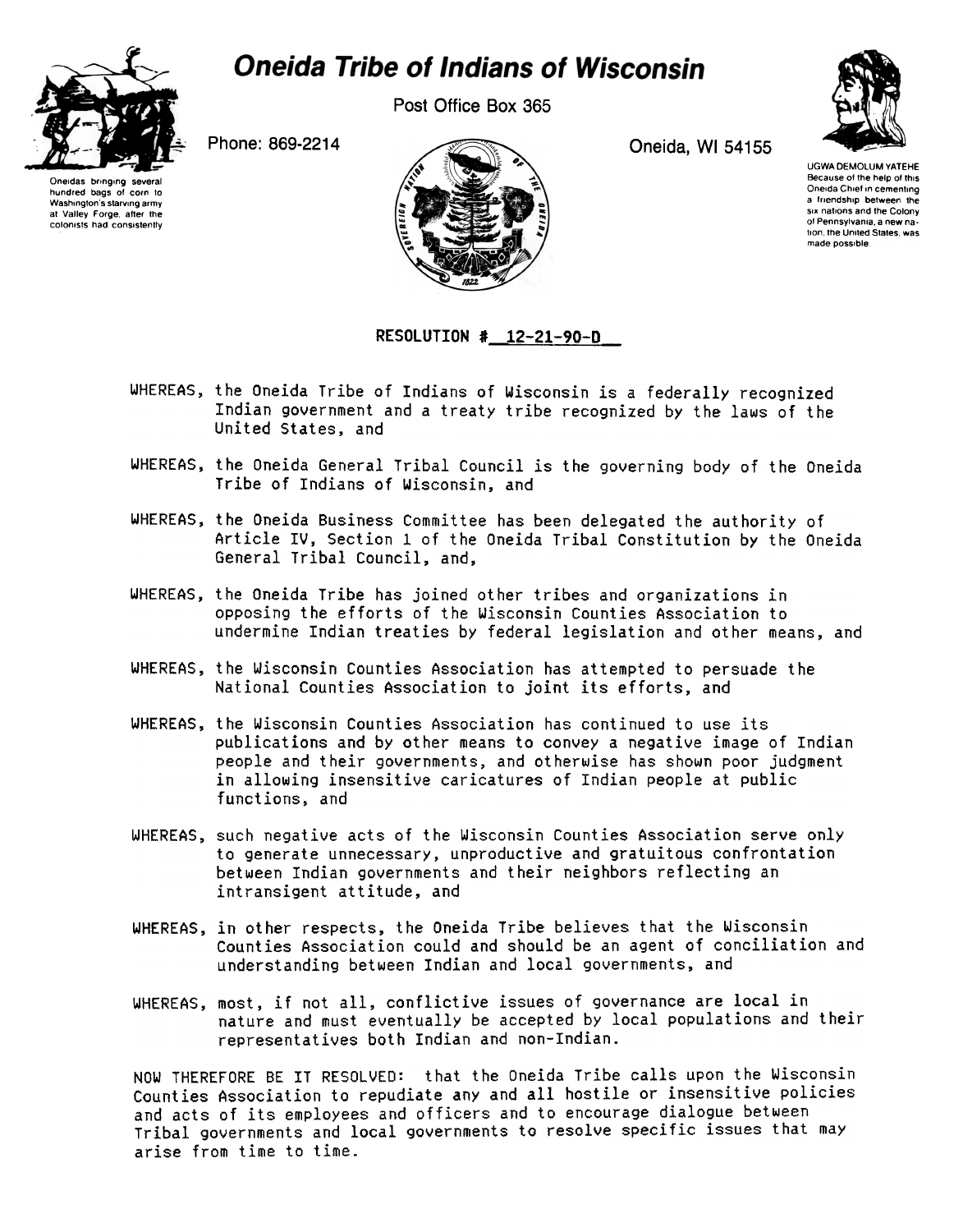

## **Oneida Tribe of Indians of Wisconsin**

Post Office Box 365



Oneidas bringing several hundred bags of corn to<br>Washington's starving army Washington's starving army at Valley Forge. aher the colonists had consistently



UGWA DEMOLUM YATEHE Because of the help of this Oneida Chief in cementing a friendship between the six nations and the Colony ot Pennsylvania. a new nalion the United Slates was made possible

## RESOLUTION # 12-21-90-D

- WHEREAS, the Oneida Tribe of Indians of Wisconsin is a federally recognized Indian government and a treaty tribe recognized by the laws of the United States, and
- WHEREAS, the Oneida General Tribal Council is the governing body of the Oneida Tribe of Indians of Wisconsin, and
- WHEREAS, the Oneida Business Committee has been delegated the authority of Article IV, Section 1 of the Oneida Tribal Constitution by the Oneida General Tribal Council, and,
- WHEREAS, the Oneida Tribe has joined other tribes and organizations in opposing the efforts of the Wisconsin Counties Association to undermine Indian treaties by federal legislation and other means, and
- WHEREAS, the Wisconsin Counties Association has attempted to persuade the National Counties Association to joint its efforts, and
- WHEREAS, the Wisconsin Counties Association has continued to use its publications and by other means to convey a negative image of Indian people and their governments, and otherwise has shown poor judgment in allowing insensitive caricatures of Indian people at public functions, and
- WHEREAS, such negative acts of the Wisconsin Counties Association serve only to generate unnecessary, unproductive and gratuitous confrontation between Indian governments and their neighbors reflecting an intransigent attitude, and
- WHEREAS, in other respects, the Oneida Tribe believes that the Wisconsin Counties Association could and should be an agent of conciliation and understanding between Indian and local governments, and
- WHEREAS, most, if not all, conflictive issues of governance are local in nature and must eventually be accepted by local populations and their representatives both Indian and non-Indian.

NOW THEREFORE BE IT RESOLVED: that the Oneida Tribe calls upon the Wisconsin Counties Association to repudiate any and all hostile or insensitive policies and acts of its employees and officers and to encourage dialogue between Tribal governments and local governments to resolve specific issues that may arise from time to time.